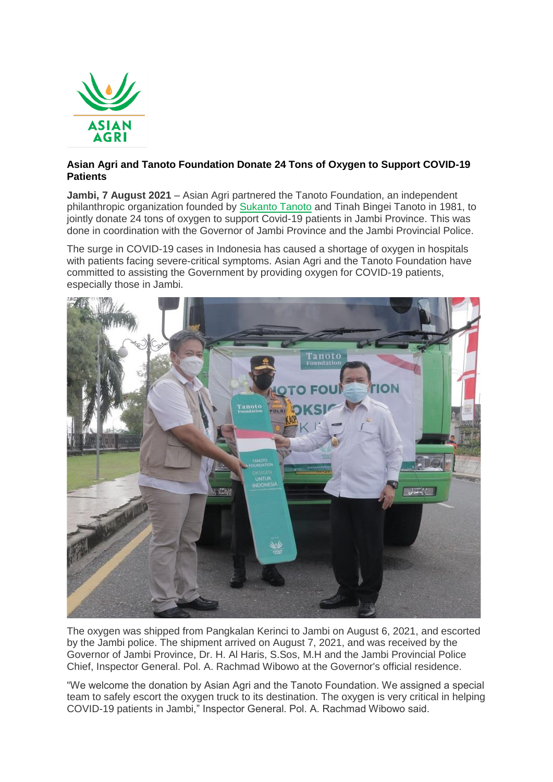

## **Asian Agri and Tanoto Foundation Donate 24 Tons of Oxygen to Support COVID-19 Patients**

**Jambi, 7 August 2021** – Asian Agri partnered the Tanoto Foundation, an independent philanthropic organization founded by [Sukanto Tanoto](https://www.tanotofoundation.org/en/sukanto-tanoto/) and Tinah Bingei Tanoto in 1981, to jointly donate 24 tons of oxygen to support Covid-19 patients in Jambi Province. This was done in coordination with the Governor of Jambi Province and the Jambi Provincial Police.

The surge in COVID-19 cases in Indonesia has caused a shortage of oxygen in hospitals with patients facing severe-critical symptoms. Asian Agri and the Tanoto Foundation have committed to assisting the Government by providing oxygen for COVID-19 patients, especially those in Jambi.



The oxygen was shipped from Pangkalan Kerinci to Jambi on August 6, 2021, and escorted by the Jambi police. The shipment arrived on August 7, 2021, and was received by the Governor of Jambi Province, Dr. H. Al Haris, S.Sos, M.H and the Jambi Provincial Police Chief, Inspector General. Pol. A. Rachmad Wibowo at the Governor's official residence.

"We welcome the donation by Asian Agri and the Tanoto Foundation. We assigned a special team to safely escort the oxygen truck to its destination. The oxygen is very critical in helping COVID-19 patients in Jambi," Inspector General. Pol. A. Rachmad Wibowo said.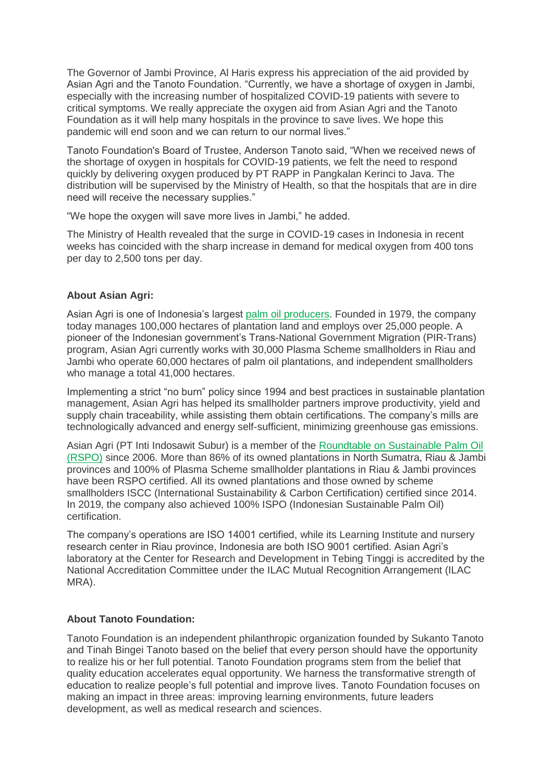The Governor of Jambi Province, Al Haris express his appreciation of the aid provided by Asian Agri and the Tanoto Foundation. "Currently, we have a shortage of oxygen in Jambi, especially with the increasing number of hospitalized COVID-19 patients with severe to critical symptoms. We really appreciate the oxygen aid from Asian Agri and the Tanoto Foundation as it will help many hospitals in the province to save lives. We hope this pandemic will end soon and we can return to our normal lives."

Tanoto Foundation's Board of Trustee, Anderson Tanoto said, "When we received news of the shortage of oxygen in hospitals for COVID-19 patients, we felt the need to respond quickly by delivering oxygen produced by PT RAPP in Pangkalan Kerinci to Java. The distribution will be supervised by the Ministry of Health, so that the hospitals that are in dire need will receive the necessary supplies."

"We hope the oxygen will save more lives in Jambi," he added.

The Ministry of Health revealed that the surge in COVID-19 cases in Indonesia in recent weeks has coincided with the sharp increase in demand for medical oxygen from 400 tons per day to 2,500 tons per day.

## **About Asian Agri:**

Asian Agri is one of Indonesia's largest [palm oil producers.](https://www.asianagri.com/en/about-us) Founded in 1979, the company today manages 100,000 hectares of plantation land and employs over 25,000 people. A pioneer of the Indonesian government's Trans-National Government Migration (PIR-Trans) program, Asian Agri currently works with 30,000 Plasma Scheme smallholders in Riau and Jambi who operate 60,000 hectares of palm oil plantations, and independent smallholders who manage a total 41,000 hectares.

Implementing a strict "no burn" policy since 1994 and best practices in sustainable plantation management, Asian Agri has helped its smallholder partners improve productivity, yield and supply chain traceability, while assisting them obtain certifications. The company's mills are technologically advanced and energy self-sufficient, minimizing greenhouse gas emissions.

Asian Agri (PT Inti Indosawit Subur) is a member of the [Roundtable on Sustainable Palm Oil](https://www.asianagri.com/en/sustainability-dashboard/standards-and-certifications)  [\(RSPO\)](https://www.asianagri.com/en/sustainability-dashboard/standards-and-certifications) since 2006. More than 86% of its owned plantations in North Sumatra, Riau & Jambi provinces and 100% of Plasma Scheme smallholder plantations in Riau & Jambi provinces have been RSPO certified. All its owned plantations and those owned by scheme smallholders ISCC (International Sustainability & Carbon Certification) certified since 2014. In 2019, the company also achieved 100% ISPO (Indonesian Sustainable Palm Oil) certification.

The company's operations are ISO 14001 certified, while its Learning Institute and nursery research center in Riau province, Indonesia are both ISO 9001 certified. Asian Agri's laboratory at the Center for Research and Development in Tebing Tinggi is accredited by the National Accreditation Committee under the ILAC Mutual Recognition Arrangement (ILAC MRA).

## **About Tanoto Foundation:**

Tanoto Foundation is an independent philanthropic organization founded by Sukanto Tanoto and Tinah Bingei Tanoto based on the belief that every person should have the opportunity to realize his or her full potential. Tanoto Foundation programs stem from the belief that quality education accelerates equal opportunity. We harness the transformative strength of education to realize people's full potential and improve lives. Tanoto Foundation focuses on making an impact in three areas: improving learning environments, future leaders development, as well as medical research and sciences.